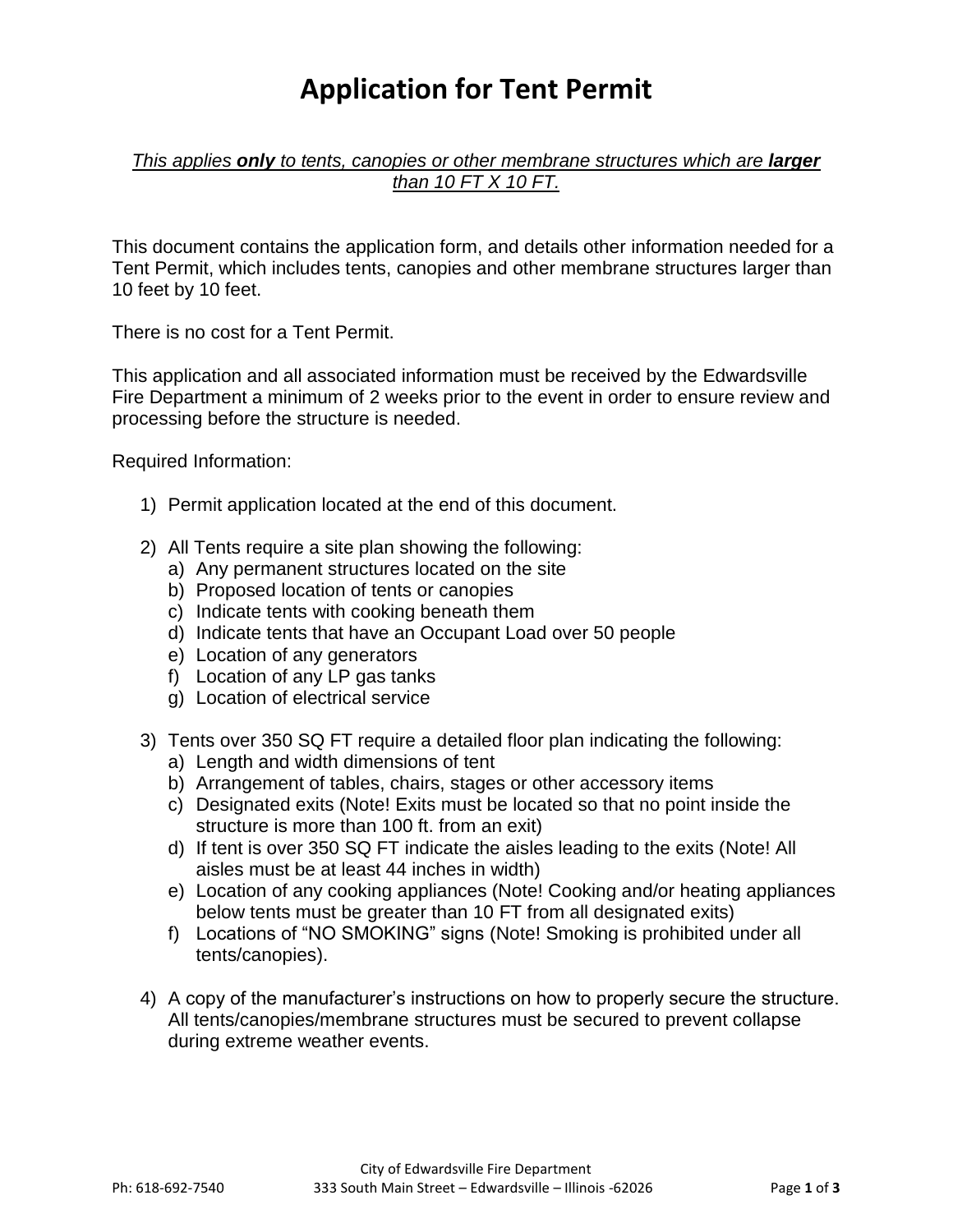## **Application for Tent Permit**

*This applies only to tents, canopies or other membrane structures which are larger than 10 FT X 10 FT.* 

This document contains the application form, and details other information needed for a Tent Permit, which includes tents, canopies and other membrane structures larger than 10 feet by 10 feet.

There is no cost for a Tent Permit.

This application and all associated information must be received by the Edwardsville Fire Department a minimum of 2 weeks prior to the event in order to ensure review and processing before the structure is needed.

Required Information:

- 1) Permit application located at the end of this document.
- 2) All Tents require a site plan showing the following:
	- a) Any permanent structures located on the site
	- b) Proposed location of tents or canopies
	- c) Indicate tents with cooking beneath them
	- d) Indicate tents that have an Occupant Load over 50 people
	- e) Location of any generators
	- f) Location of any LP gas tanks
	- g) Location of electrical service
- 3) Tents over 350 SQ FT require a detailed floor plan indicating the following:
	- a) Length and width dimensions of tent
	- b) Arrangement of tables, chairs, stages or other accessory items
	- c) Designated exits (Note! Exits must be located so that no point inside the structure is more than 100 ft. from an exit)
	- d) If tent is over 350 SQ FT indicate the aisles leading to the exits (Note! All aisles must be at least 44 inches in width)
	- e) Location of any cooking appliances (Note! Cooking and/or heating appliances below tents must be greater than 10 FT from all designated exits)
	- f) Locations of "NO SMOKING" signs (Note! Smoking is prohibited under all tents/canopies).
- 4) A copy of the manufacturer's instructions on how to properly secure the structure. All tents/canopies/membrane structures must be secured to prevent collapse during extreme weather events.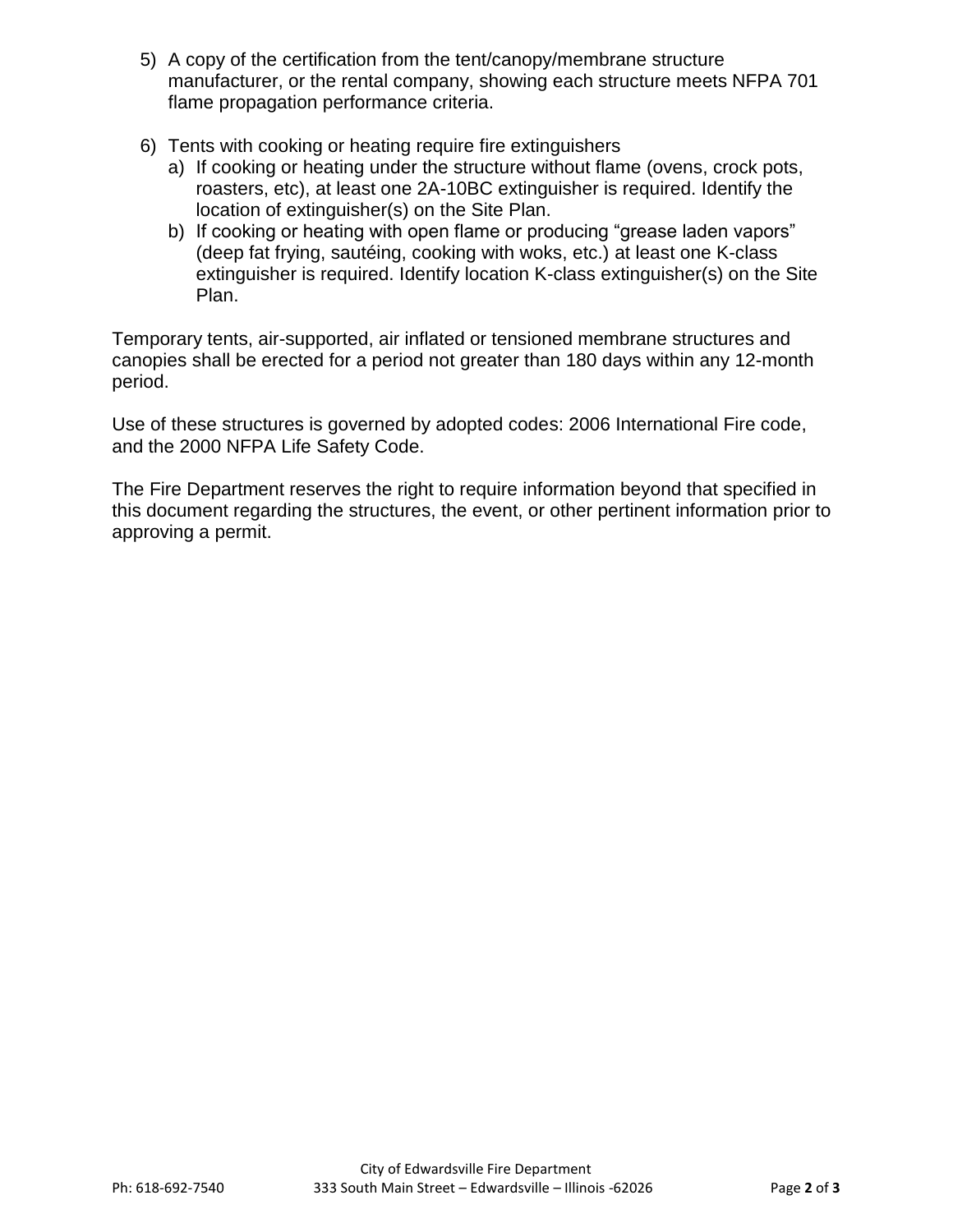- 5) A copy of the certification from the tent/canopy/membrane structure manufacturer, or the rental company, showing each structure meets NFPA 701 flame propagation performance criteria.
- 6) Tents with cooking or heating require fire extinguishers
	- a) If cooking or heating under the structure without flame (ovens, crock pots, roasters, etc), at least one 2A-10BC extinguisher is required. Identify the location of extinguisher(s) on the Site Plan.
	- b) If cooking or heating with open flame or producing "grease laden vapors" (deep fat frying, sautéing, cooking with woks, etc.) at least one K-class extinguisher is required. Identify location K-class extinguisher(s) on the Site Plan.

Temporary tents, air-supported, air inflated or tensioned membrane structures and canopies shall be erected for a period not greater than 180 days within any 12-month period.

Use of these structures is governed by adopted codes: 2006 International Fire code, and the 2000 NFPA Life Safety Code.

The Fire Department reserves the right to require information beyond that specified in this document regarding the structures, the event, or other pertinent information prior to approving a permit.